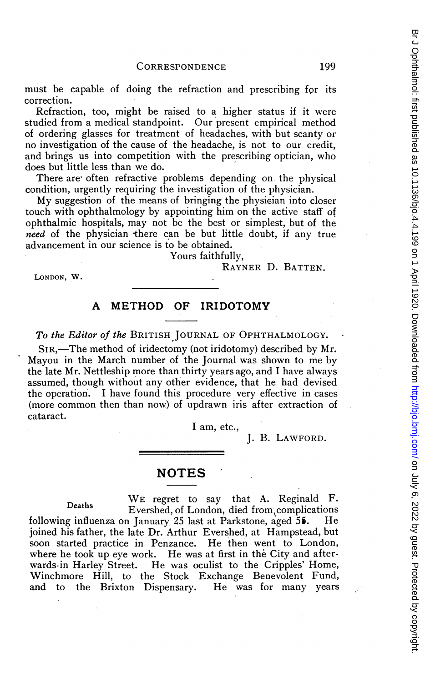must be capable of doing the refraction and prescribing for its correction.

Refraction, too, might be raised to a higher status if it were studied from a medical standpoint. Our present empirical method of ordering glasses for treatment of headaches, with but scanty or no investigation of the cause of the headache, is not to our credit, and brings us into competition with the prescribing optician, who does but little less than we do.

There are often refractive problems depending on the physical condition, urgently requiring the investigation of the physician.

My suggestion of the means of bringing the physician into closer touch with ophthalmology by appointing him on the active staff of ophthalmic hospitals, may not be the best or simplest, but of the need of the physician there can be but little doubt, if any true advancement in our science is to be obtained.

Yours faithfully,

#### RAYNER D. BATTEN.

LONDON, W.

### A METHOD OF IRIDOTOMY

To the Editor of the BRITISH JOURNAL OF OPHTHALMOLOGY.

SIR,—The method of iridectomy (not iridotomy) described by Mr. Mayou in the March number of the Journal was shown to me by the late Mr. Nettleship more than thirty years ago, and <sup>I</sup> have always assumed, though without any other evidence, that he had devised the operation. <sup>I</sup> have found this procedure very effective in cases (more common then than now) of updrawn iris after extraction of cataract.

<sup>I</sup> am, etc.,

### J. B. LAWFORD.

# NOTES

Deaths WE regret to say that A. Reginald F. Evershed, of London, died from complications following influenza on January 25 last at Parkstone, aged  $55$ . He joined his father, the late Dr. Arthur Evershed, at Hampstead, but soon started practice in Penzance. He then went to London, where he took up eye work. He was at first in the City and afterwards-in Harley Street. He was oculist to the Cripples' Home, Winchmore Hill, to the Stock Exchange Benevolent Fund, and to the Brixton Dispensary. He was for many years